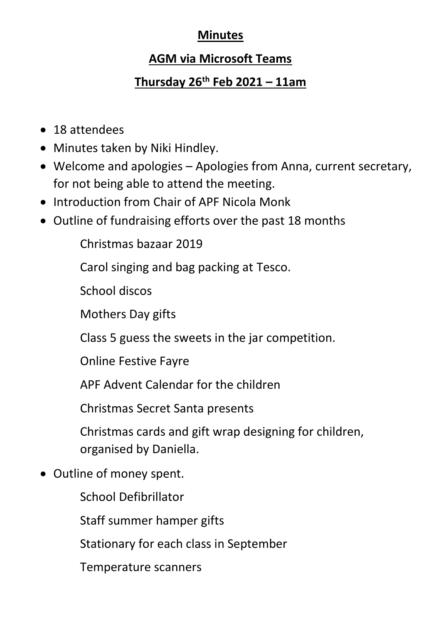## **Minutes**

## **AGM via Microsoft Teams**

## **Thursday 26th Feb 2021 – 11am**

- 18 attendees
- Minutes taken by Niki Hindley.
- Welcome and apologies Apologies from Anna, current secretary, for not being able to attend the meeting.
- Introduction from Chair of APF Nicola Monk
- Outline of fundraising efforts over the past 18 months

Christmas bazaar 2019

Carol singing and bag packing at Tesco.

School discos

Mothers Day gifts

Class 5 guess the sweets in the jar competition.

Online Festive Fayre

APF Advent Calendar for the children

Christmas Secret Santa presents

Christmas cards and gift wrap designing for children, organised by Daniella.

• Outline of money spent.

School Defibrillator

Staff summer hamper gifts

Stationary for each class in September

Temperature scanners